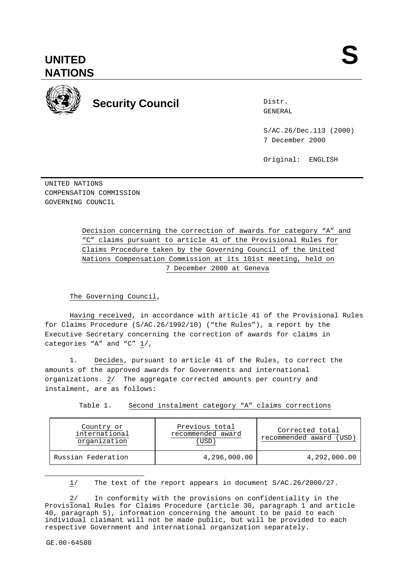



Distr.

S/AC.26/Dec.113 (2000) 7 December 2000

Original: ENGLISH

UNITED NATIONS COMPENSATION COMMISSION GOVERNING COUNCIL

> Decision concerning the correction of awards for category "A" and "C" claims pursuant to article 41 of the Provisional Rules for Claims Procedure taken by the Governing Council of the United Nations Compensation Commission at its 101st meeting, held on 7 December 2000 at Geneva

### The Governing Council,

Having received, in accordance with article 41 of the Provisional Rules for Claims Procedure (S/AC.26/1992/10) ("the Rules"), a report by the Executive Secretary concerning the correction of awards for claims in categories "A" and "C" 1/,

1. Decides, pursuant to article 41 of the Rules, to correct the amounts of the approved awards for Governments and international organizations.  $2/$  The aggregate corrected amounts per country and instalment, are as follows:

Table 1. Second instalment category "A" claims corrections

| Country or         | Previous total    | Corrected total   |
|--------------------|-------------------|-------------------|
| international      | recommended award | recommended award |
| organization       | USD               | (USD)             |
| Russian Federation | 4,296,000.00      | 4,292,000.00      |

1/ The text of the report appears in document S/AC.26/2000/27.

In conformity with the provisions on confidentiality in the Provisional Rules for Claims Procedure (article 30, paragraph 1 and article 40, paragraph 5), information concerning the amount to be paid to each individual claimant will not be made public, but will be provided to each respective Government and international organization separately.

 $\overline{a}$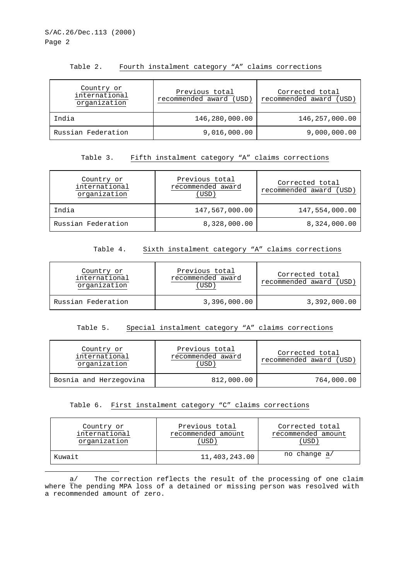| Table 2. |  |  |  |  |  | Fourth instalment category "A" claims corrections |
|----------|--|--|--|--|--|---------------------------------------------------|
|----------|--|--|--|--|--|---------------------------------------------------|

| Country or<br>international<br>organization | Previous total<br>recommended award (USD) | Corrected total<br>recommended award (USD) |
|---------------------------------------------|-------------------------------------------|--------------------------------------------|
| India                                       | 146,280,000.00                            | 146,257,000.00                             |
| Russian Federation                          | 9,016,000.00                              | 9,000,000.00                               |

#### Table 3. Fifth instalment category "A" claims corrections

| Country or<br>international<br>organization | Previous total<br>recommended award<br>(USD) | Corrected total<br>recommended award (USD |
|---------------------------------------------|----------------------------------------------|-------------------------------------------|
| India                                       | 147,567,000.00                               | 147,554,000.00                            |
| Russian Federation                          | 8,328,000.00                                 | 8,324,000.00                              |

#### Table 4. Sixth instalment category "A" claims corrections

| Country or<br>international<br>organization | Previous total<br>recommended award<br>USD <sup>1</sup> | Corrected total<br>recommended award (USD) |
|---------------------------------------------|---------------------------------------------------------|--------------------------------------------|
| Russian Federation                          | 3,396,000.00                                            | 3,392,000.00                               |

## Table 5. Special instalment category "A" claims corrections

| Country or             | Previous total    | Corrected total     |
|------------------------|-------------------|---------------------|
| international          | recommended award | recommended award ( |
| organization           | USD               | ' USD               |
| Bosnia and Herzegovina | 812,000.00        | 764,000.00          |

## Table 6. First instalment category "C" claims corrections

| Country or    | Previous total     | Corrected total    |
|---------------|--------------------|--------------------|
| international | recommended amount | recommended amount |
| organization  | USD.               | USD                |
| Kuwait        | 11,403,243.00      | no change a/       |

a/ The correction reflects the result of the processing of one claim where the pending MPA loss of a detained or missing person was resolved with a recommended amount of zero.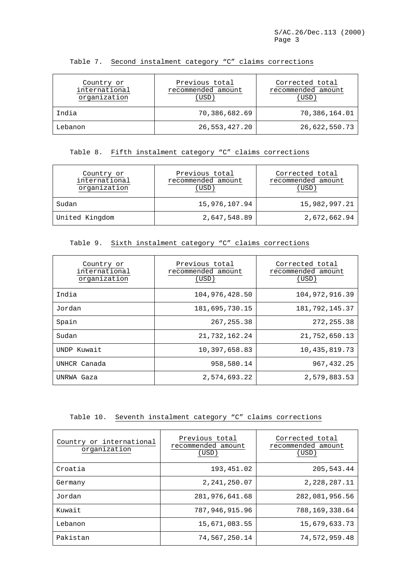| Country or<br>international<br>organization | Previous total<br>recommended amount<br>USD) | Corrected total<br>recommended amount<br>(USD) |
|---------------------------------------------|----------------------------------------------|------------------------------------------------|
| India                                       | 70,386,682.69                                | 70,386,164.01                                  |
| Lebanon                                     | 26,553,427.20                                | 26,622,550.73                                  |

#### Table 7. Second instalment category "C" claims corrections

### Table 8. Fifth instalment category "C" claims corrections

| Country or<br>international<br>organization | Previous total<br>recommended amount<br>(USD) | Corrected total<br>recommended amount<br>(USD) |
|---------------------------------------------|-----------------------------------------------|------------------------------------------------|
| Sudan                                       | 15,976,107.94                                 | 15,982,997.21                                  |
| United Kingdom                              | 2,647,548.89                                  | 2,672,662.94                                   |

## Table 9. Sixth instalment category "C" claims corrections

| Country or<br>international<br>organization | Previous total<br>recommended amount<br>(USD) | Corrected total<br>recommended amount<br>(USD) |
|---------------------------------------------|-----------------------------------------------|------------------------------------------------|
| India                                       | 104,976,428.50                                | 104,972,916.39                                 |
| Jordan                                      | 181,695,730.15                                | 181, 792, 145. 37                              |
| Spain                                       | 267, 255.38                                   | 272, 255.38                                    |
| Sudan                                       | 21,732,162.24                                 | 21,752,650.13                                  |
| UNDP Kuwait                                 | 10,397,658.83                                 | 10, 435, 819, 73                               |
| UNHCR Canada                                | 958,580.14                                    | 967, 432, 25                                   |
| UNRWA Gaza                                  | 2,574,693.22                                  | 2,579,883.53                                   |

# Table 10. Seventh instalment category "C" claims corrections

| Country or international<br>organization | Previous total<br>recommended amount<br>(USD) | Corrected total<br>recommended amount<br>(USD) |
|------------------------------------------|-----------------------------------------------|------------------------------------------------|
| Croatia                                  | 193,451.02                                    | 205, 543, 44                                   |
| Germany                                  | 2, 241, 250.07                                | 2, 228, 287. 11                                |
| Jordan                                   | 281,976,641.68                                | 282,081,956.56                                 |
| Kuwait                                   | 787,946,915.96                                | 788,169,338.64                                 |
| Lebanon                                  | 15,671,083.55                                 | 15,679,633.73                                  |
| Pakistan                                 | 74,567,250.14                                 | 74,572,959.48                                  |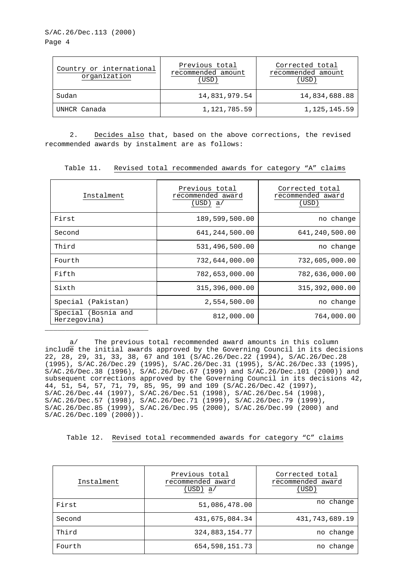### S/AC.26/Dec.113 (2000) Page 4

| Country or international<br>organization | Previous total<br>recommended amount<br>(USD) | Corrected total<br>recommended amount<br>(USD) |
|------------------------------------------|-----------------------------------------------|------------------------------------------------|
| Sudan                                    | 14,831,979.54                                 | 14,834,688.88                                  |
| UNHCR Canada                             | 1,121,785.59                                  | 1, 125, 145.59                                 |

2. Decides also that, based on the above corrections, the revised recommended awards by instalment are as follows:

Table 11. Revised total recommended awards for category "A" claims

| Instalment                          | Previous total<br>recommended award<br>(USD) a/ | Corrected total<br>recommended award<br>(USD) |
|-------------------------------------|-------------------------------------------------|-----------------------------------------------|
| First                               | 189,599,500.00                                  | no change                                     |
| Second                              | 641, 244, 500.00                                | 641, 240, 500.00                              |
| Third                               | 531,496,500.00                                  | no change                                     |
| Fourth                              | 732,644,000.00                                  | 732,605,000.00                                |
| Fifth                               | 782,653,000.00                                  | 782,636,000.00                                |
| Sixth                               | 315,396,000.00                                  | 315, 392, 000.00                              |
| Special (Pakistan)                  | 2,554,500.00                                    | no change                                     |
| Special (Bosnia and<br>Herzegovina) | 812,000.00                                      | 764,000.00                                    |

a/ The previous total recommended award amounts in this column include the initial awards approved by the Governing Council in its decisions 22, 28, 29, 31, 33, 38, 67 and 101 (S/AC.26/Dec.22 (1994), S/AC.26/Dec.28 (1995), S/AC.26/Dec.29 (1995), S/AC.26/Dec.31 (1995), S/AC.26/Dec.33 (1995), S/AC.26/Dec.38 (1996), S/AC.26/Dec.67 (1999) and S/AC.26/Dec.101 (2000)) and subsequent corrections approved by the Governing Council in its decisions 42, 44, 51, 54, 57, 71, 79, 85, 95, 99 and 109 (S/AC.26/Dec.42 (1997), S/AC.26/Dec.44 (1997), S/AC.26/Dec.51 (1998), S/AC.26/Dec.54 (1998), S/AC.26/Dec.57 (1998), S/AC.26/Dec.71 (1999), S/AC.26/Dec.79 (1999), S/AC.26/Dec.85 (1999), S/AC.26/Dec.95 (2000), S/AC.26/Dec.99 (2000) and S/AC.26/Dec.109 (2000)).

Table 12. Revised total recommended awards for category "C" claims

| Instalment | Previous total<br>recommended award<br>(USD)<br>a/ | Corrected total<br>recommended award<br>(USD) |
|------------|----------------------------------------------------|-----------------------------------------------|
| First      | 51,086,478.00                                      | no change                                     |
| Second     | 431,675,084.34                                     | 431, 743, 689. 19                             |
| Third      | 324,883,154.77                                     | no change                                     |
| Fourth     | 654,598,151.73                                     | no change                                     |